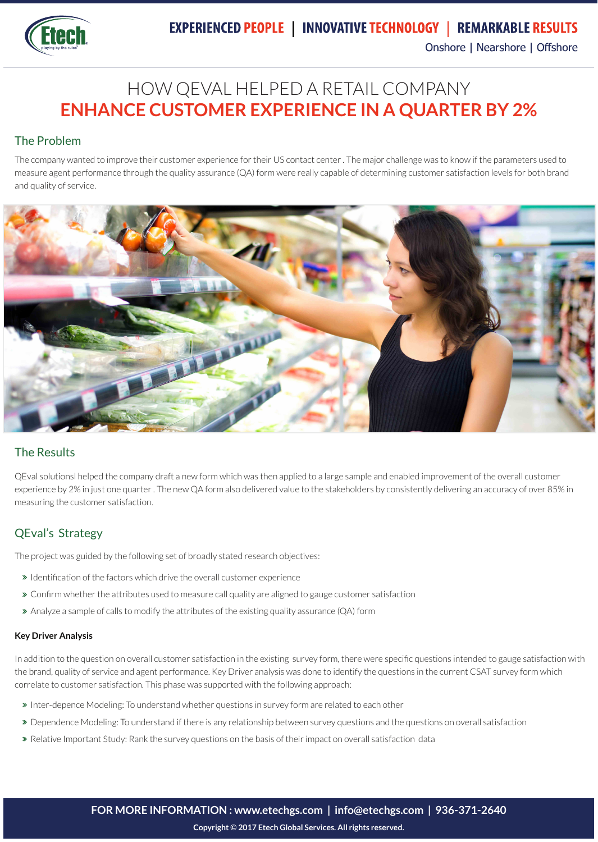

# HOW QEVAL HELPED A RETAIL COMPANY **ENHANCE CUSTOMER EXPERIENCE IN A QUARTER BY 2%**

### The Problem

The company wanted to improve their customer experience for their US contact center . The major challenge was to know if the parameters used to measure agent performance through the quality assurance (QA) form were really capable of determining customer satisfaction levels for both brand and quality of service.



#### The Results

QEval solutionsl helped the company draft a new form which was then applied to a large sample and enabled improvement of the overall customer experience by 2% in just one quarter . The new QA form also delivered value to the stakeholders by consistently delivering an accuracy of over 85% in measuring the customer satisfaction.

### QEval's Strategy

The project was guided by the following set of broadly stated research objectives:

- Identification of the factors which drive the overall customer experience
- Confirm whether the attributes used to measure call quality are aligned to gauge customer satisfaction
- Analyze a sample of calls to modify the attributes of the existing quality assurance (QA) form

#### **Key Driver Analysis**

In addition to the question on overall customer satisfaction in the existing survey form, there were specific questions intended to gauge satisfaction with the brand, quality of service and agent performance. Key Driver analysis was done to identify the questions in the current CSAT survey form which correlate to customer satisfaction. This phase was supported with the following approach:

- Inter-depence Modeling: To understand whether questions in survey form are related to each other
- Dependence Modeling: To understand if there is any relationship between survey questions and the questions on overall satisfaction
- Relative Important Study: Rank the survey questions on the basis of their impact on overall satisfaction data